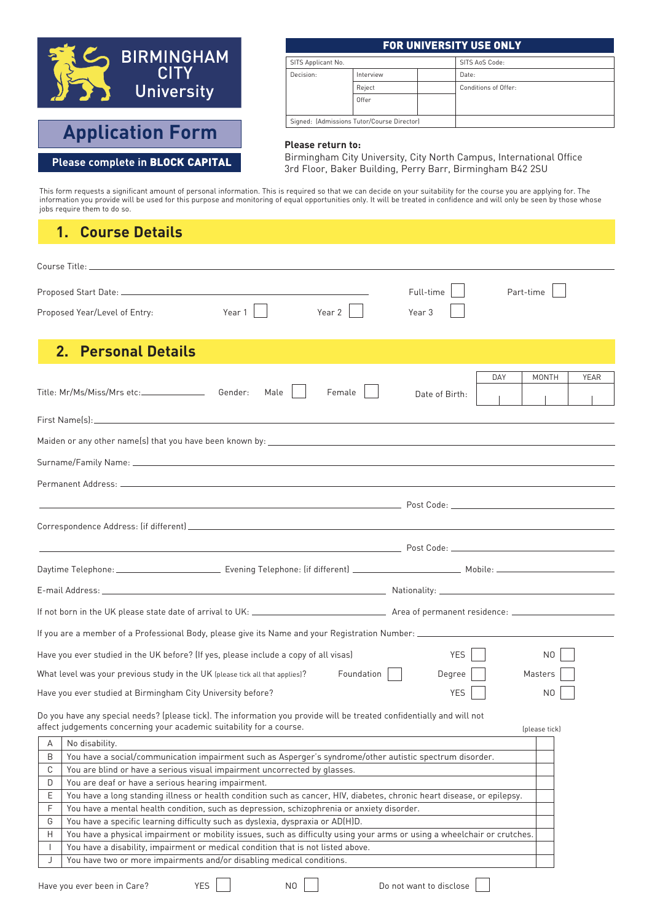

# **Application Form**

#### **Please complete in** BLOCK CAPITAL

#### FOR UNIVERSITY USE ONLY

| SITS Applicant No.                         |           |  | SITS AnS Code:       |
|--------------------------------------------|-----------|--|----------------------|
| Decision:                                  | Interview |  | Date:                |
|                                            | Reject    |  | Conditions of Offer: |
|                                            | Offer     |  |                      |
| Signed: (Admissions Tutor/Course Director) |           |  |                      |

#### **Please return to:**

Birmingham City University, City North Campus, International Office 3rd Floor, Baker Building, Perry Barr, Birmingham B42 2SU

This form requests a significant amount of personal information. This is required so that we can decide on your suitability for the course you are applying for. The information you provide will be used for this purpose and monitoring of equal opportunities only. It will be treated in confidence and will only be seen by those whose jobs require them to do so.

#### **1. Course Details**

|    | Full-time<br>Part-time<br>Year 2<br>Year 1<br>Proposed Year/Level of Entry:<br>Year <sub>3</sub>                                                                                                                                     |  |  |  |  |  |
|----|--------------------------------------------------------------------------------------------------------------------------------------------------------------------------------------------------------------------------------------|--|--|--|--|--|
| 2. | <b>Personal Details</b>                                                                                                                                                                                                              |  |  |  |  |  |
|    | DAY<br>MONTH<br>YEAR<br>Title: Mr/Ms/Miss/Mrs etc:________________<br>Female<br>Gender:<br>Male<br>Date of Birth:                                                                                                                    |  |  |  |  |  |
|    |                                                                                                                                                                                                                                      |  |  |  |  |  |
|    |                                                                                                                                                                                                                                      |  |  |  |  |  |
|    |                                                                                                                                                                                                                                      |  |  |  |  |  |
|    |                                                                                                                                                                                                                                      |  |  |  |  |  |
|    | <u>in the contract of the contract of the contract of the contract of the contract of the contract of the contract of the contract of the contract of the contract of the contract of the contract of the contract of the contra</u> |  |  |  |  |  |
|    |                                                                                                                                                                                                                                      |  |  |  |  |  |
|    |                                                                                                                                                                                                                                      |  |  |  |  |  |
|    |                                                                                                                                                                                                                                      |  |  |  |  |  |
|    |                                                                                                                                                                                                                                      |  |  |  |  |  |
|    | If you are a member of a Professional Body, please give its Name and your Registration Number: _______________________                                                                                                               |  |  |  |  |  |
|    | Have you ever studied in the UK before? (If yes, please include a copy of all visas)<br>YES<br>NO.                                                                                                                                   |  |  |  |  |  |
|    | Foundation<br>What level was your previous study in the UK (please tick all that applies)?<br>Degree<br>Masters                                                                                                                      |  |  |  |  |  |
|    | Have you ever studied at Birmingham City University before?<br><b>YES</b><br>N <sub>0</sub>                                                                                                                                          |  |  |  |  |  |
|    | Do you have any special needs? (please tick). The information you provide will be treated confidentially and will not<br>affect judgements concerning your academic suitability for a course.<br>(please tick)                       |  |  |  |  |  |
| А  | No disability.                                                                                                                                                                                                                       |  |  |  |  |  |
| B  | You have a social/communication impairment such as Asperger's syndrome/other autistic spectrum disorder.                                                                                                                             |  |  |  |  |  |
| С  | You are blind or have a serious visual impairment uncorrected by glasses.                                                                                                                                                            |  |  |  |  |  |
| D  | You are deaf or have a serious hearing impairment.                                                                                                                                                                                   |  |  |  |  |  |
| Ε  | You have a long standing illness or health condition such as cancer, HIV, diabetes, chronic heart disease, or epilepsy.                                                                                                              |  |  |  |  |  |
| F  | You have a mental health condition, such as depression, schizophrenia or anxiety disorder.                                                                                                                                           |  |  |  |  |  |
| G  | You have a specific learning difficulty such as dyslexia, dyspraxia or AD(H)D.                                                                                                                                                       |  |  |  |  |  |
| Н  | You have a physical impairment or mobility issues, such as difficulty using your arms or using a wheelchair or crutches.                                                                                                             |  |  |  |  |  |
|    | You have a disability, impairment or medical condition that is not listed above.                                                                                                                                                     |  |  |  |  |  |
| J  | You have two or more impairments and/or disabling medical conditions.                                                                                                                                                                |  |  |  |  |  |

Have you ever been in Care? YES NO Do not want to disclose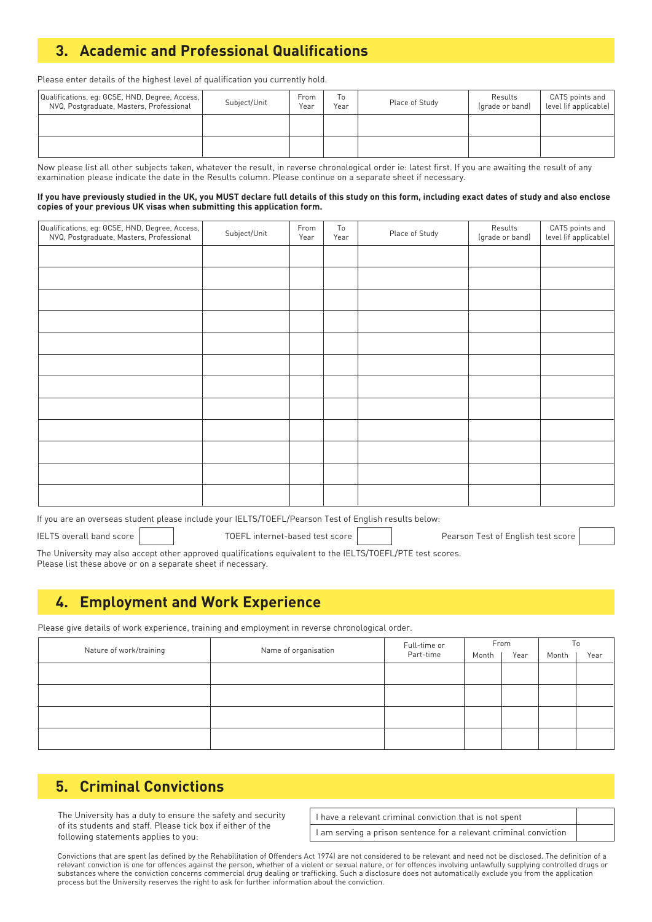# **3. Academic and Professional Qualifications**

Please enter details of the highest level of qualification you currently hold.

| Qualifications, eq: GCSE, HND, Degree, Access,  <br>NVQ, Postgraduate, Masters, Professional | Subject/Unit | From<br>Year | Тo<br>Year | Place of Study | Results<br>(grade or band) | CATS points and<br>level (if applicable) |
|----------------------------------------------------------------------------------------------|--------------|--------------|------------|----------------|----------------------------|------------------------------------------|
|                                                                                              |              |              |            |                |                            |                                          |
|                                                                                              |              |              |            |                |                            |                                          |

Now please list all other subjects taken, whatever the result, in reverse chronological order ie: latest first. If you are awaiting the result of any examination please indicate the date in the Results column. Please continue on a separate sheet if necessary.

#### If you have previously studied in the UK, you MUST declare full details of this study on this form, including exact dates of study and also enclose **copies of your previous UK visas when submitting this application form.**

| Qualifications, eg: GCSE, HND, Degree, Access,  <br>  NVQ, Postgraduate, Masters, Professional | Subject/Unit | From<br>Year | To<br>Year | Place of Study | Results<br>(grade or band) | CATS points and<br>level (if applicable) |
|------------------------------------------------------------------------------------------------|--------------|--------------|------------|----------------|----------------------------|------------------------------------------|
|                                                                                                |              |              |            |                |                            |                                          |
|                                                                                                |              |              |            |                |                            |                                          |
|                                                                                                |              |              |            |                |                            |                                          |
|                                                                                                |              |              |            |                |                            |                                          |
|                                                                                                |              |              |            |                |                            |                                          |
|                                                                                                |              |              |            |                |                            |                                          |
|                                                                                                |              |              |            |                |                            |                                          |
|                                                                                                |              |              |            |                |                            |                                          |
|                                                                                                |              |              |            |                |                            |                                          |
|                                                                                                |              |              |            |                |                            |                                          |
|                                                                                                |              |              |            |                |                            |                                          |
|                                                                                                |              |              |            |                |                            |                                          |

If you are an overseas student please include your IELTS/TOEFL/Pearson Test of English results below:

IELTS overall band score **TOEFL** internet-based test score Pearson Test of English test score

The University may also accept other approved qualifications equivalent to the IELTS/TOEFL/PTE test scores. Please list these above or on a separate sheet if necessary.

#### **4. Employment and Work Experience**

Please give details of work experience, training and employment in reverse chronological order.

| Nature of work/training | Name of organisation | Full-time or | From  |      | To    |      |
|-------------------------|----------------------|--------------|-------|------|-------|------|
|                         |                      | Part-time    | Month | Year | Month | Year |
|                         |                      |              |       |      |       |      |
|                         |                      |              |       |      |       |      |
|                         |                      |              |       |      |       |      |
|                         |                      |              |       |      |       |      |
|                         |                      |              |       |      |       |      |
|                         |                      |              |       |      |       |      |
|                         |                      |              |       |      |       |      |
|                         |                      |              |       |      |       |      |

#### **5. Criminal Convictions**

The University has a duty to ensure the safety and security of its students and staff. Please tick box if either of the following statements applies to you:

| I have a relevant criminal conviction that is not spent           |  |
|-------------------------------------------------------------------|--|
| I am serving a prison sentence for a relevant criminal conviction |  |

Convictions that are spent (as defined by the Rehabilitation of Offenders Act 1974) are not considered to be relevant and need not be disclosed. The definition of a relevant conviction is one for offences against the person, whether of a violent or sexual nature, or for offences involving unlawfully supplying controlled drugs or substances where the conviction concerns commercial drug dealing or trafficking. Such a disclosure does not automatically exclude you from the application process but the University reserves the right to ask for further information about the conviction.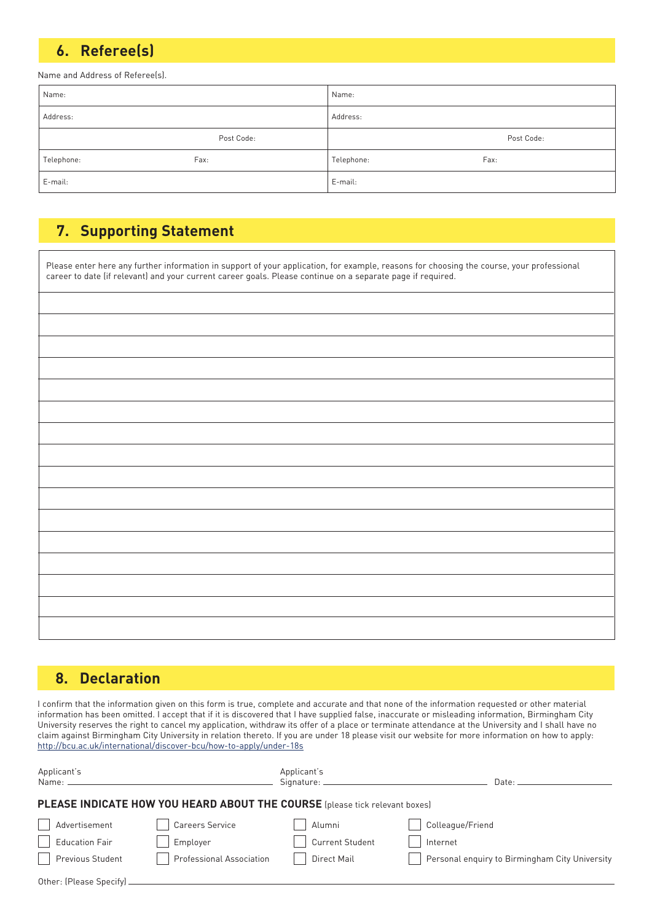## **6. Referee(s)**

Name and Address of Referee(s).

| Name:      |            | Name:      |            |
|------------|------------|------------|------------|
| Address:   |            | Address:   |            |
|            | Post Code: |            | Post Code: |
| Telephone: | Fax:       | Telephone: | Fax:       |
| E-mail:    |            | E-mail:    |            |

## **7. Supporting Statement**

| Please enter here any further information in support of your application, for example, reasons for choosing the course, your professional career to date (if relevant) and your current career goals. Please continue on a sep |  |  |  |  |
|--------------------------------------------------------------------------------------------------------------------------------------------------------------------------------------------------------------------------------|--|--|--|--|
|                                                                                                                                                                                                                                |  |  |  |  |
|                                                                                                                                                                                                                                |  |  |  |  |
|                                                                                                                                                                                                                                |  |  |  |  |
|                                                                                                                                                                                                                                |  |  |  |  |
|                                                                                                                                                                                                                                |  |  |  |  |
|                                                                                                                                                                                                                                |  |  |  |  |
|                                                                                                                                                                                                                                |  |  |  |  |
|                                                                                                                                                                                                                                |  |  |  |  |
|                                                                                                                                                                                                                                |  |  |  |  |
|                                                                                                                                                                                                                                |  |  |  |  |
|                                                                                                                                                                                                                                |  |  |  |  |
|                                                                                                                                                                                                                                |  |  |  |  |
|                                                                                                                                                                                                                                |  |  |  |  |
|                                                                                                                                                                                                                                |  |  |  |  |
|                                                                                                                                                                                                                                |  |  |  |  |

### **8. Declaration**

I confirm that the information given on this form is true, complete and accurate and that none of the information requested or other material information has been omitted. I accept that if it is discovered that I have supplied false, inaccurate or misleading information, Birmingham City University reserves the right to cancel my application, withdraw its offer of a place or terminate attendance at the University and I shall have no claim against Birmingham City University in relation thereto. If you are under 18 please visit our website for more information on how to apply: http://bcu.ac.uk/international/discover-bcu/how-to-apply/under-18s

| Applicant's<br>Name: —    |                                                                             | Applicant's<br>Signature: ____________ | Date:                                          |
|---------------------------|-----------------------------------------------------------------------------|----------------------------------------|------------------------------------------------|
|                           | PLEASE INDICATE HOW YOU HEARD ABOUT THE COURSE (please tick relevant boxes) |                                        |                                                |
| Advertisement             | Careers Service                                                             | Alumni                                 | Colleague/Friend                               |
| <b>Education Fair</b>     | Employer                                                                    | <b>Current Student</b>                 | Internet                                       |
| Previous Student          | <b>Professional Association</b>                                             | Direct Mail                            | Personal enguiry to Birmingham City University |
| Other: (Please Specify) _ |                                                                             |                                        |                                                |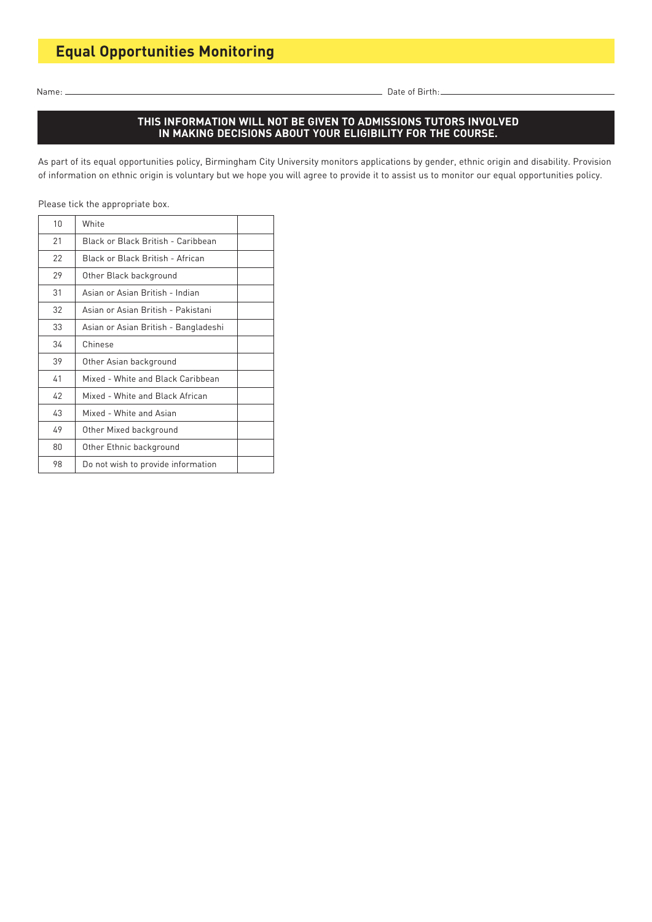Name: Date of Birth:

#### **THIS INFORMATION WILL NOT BE GIVEN TO ADMISSIONS TUTORS INVOLVED IN MAKING DECISIONS ABOUT YOUR ELIGIBILITY FOR THE COURSE.**

As part of its equal opportunities policy, Birmingham City University monitors applications by gender, ethnic origin and disability. Provision of information on ethnic origin is voluntary but we hope you will agree to provide it to assist us to monitor our equal opportunities policy.

Please tick the appropriate box.

| 10 | White                                |  |
|----|--------------------------------------|--|
| 21 | Black or Black British - Caribbean   |  |
| 22 | Black or Black British - African     |  |
| 29 | Other Black background               |  |
| 31 | Asian or Asian British - Indian      |  |
| 32 | Asian or Asian British - Pakistani   |  |
| 33 | Asian or Asian British - Bangladeshi |  |
| 34 | Chinese                              |  |
| 39 | Other Asian background               |  |
| 41 | Mixed - White and Black Caribbean    |  |
| 42 | Mixed - White and Black African      |  |
| 43 | Mixed - White and Asian              |  |
| 49 | Other Mixed background               |  |
| 80 | Other Ethnic background              |  |
| 98 | Do not wish to provide information   |  |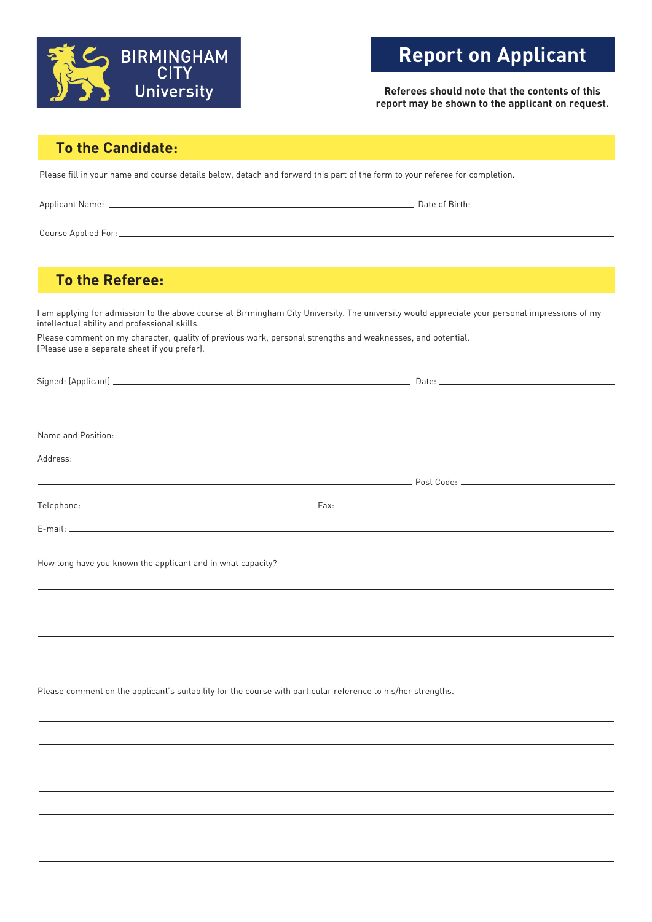

# **Report on Applicant**

**Referees should note that the contents of this report may be shown to the applicant on request.**

#### **To the Candidate:**

Please fill in your name and course details below, detach and forward this part of the form to your referee for completion.

| Applican<br>-ivarne: | Date<br>- 01<br>וורח<br>. |
|----------------------|---------------------------|
|                      |                           |

Course Applied For:

### **To the Referee:**

I am applying for admission to the above course at Birmingham City University. The university would appreciate your personal impressions of my intellectual ability and professional skills.

Please comment on my character, quality of previous work, personal strengths and weaknesses, and potential. (Please use a separate sheet if you prefer).

| How long have you known the applicant and in what capacity? |  |
|-------------------------------------------------------------|--|
|                                                             |  |
|                                                             |  |

Please comment on the applicant's suitability for the course with particular reference to his/her strengths.